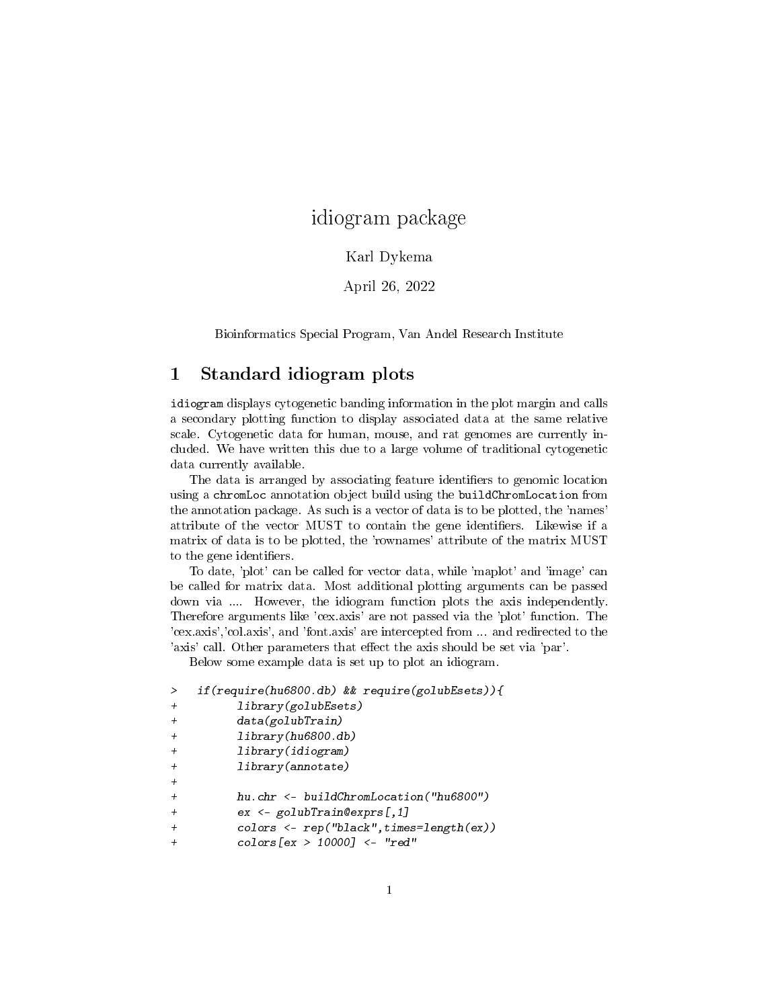# idiogram package

#### Karl Dykema

April 26, 2022

Bioinformatics Special Program, Van Andel Research Institute

### 1 Standard idiogram plots

idiogram displays cytogenetic banding information in the plot margin and calls a secondary plotting function to display associated data at the same relative scale. Cytogenetic data for human, mouse, and rat genomes are currently included. We have written this due to a large volume of traditional cytogenetic data currently available.

The data is arranged by associating feature identifiers to genomic location using a chromLoc annotation object build using the buildChromLocation from the annotation package. As such is a vector of data is to be plotted, the 'names' attribute of the vector MUST to contain the gene identifiers. Likewise if a matrix of data is to be plotted, the 'rownames' attribute of the matrix MUST to the gene identifiers.

To date, 'plot' can be called for vector data, while 'maplot' and 'image' can be called for matrix data. Most additional plotting arguments can be passed down via .... However, the idiogram function plots the axis independently. Therefore arguments like 'cex.axis' are not passed via the 'plot' function. The 'cex.axis','col.axis', and 'font.axis' are intercepted from ... and redirected to the 'axis' call. Other parameters that effect the axis should be set via 'par'.

Below some example data is set up to plot an idiogram.

```
> if(require(hu6800.db) && require(golubEsets)){
+ library(golubEsets)
+ data(golubTrain)
        library(hu6800.db)+ library(idiogram)
        library(annotate)
+
        hu.chr <- buildChromLocation("hu6800")
+ ex <- golubTrain@exprs[,1]
+ colors <- rep("black",times=length(ex))
        colors[ex > 10000] <- "red"
```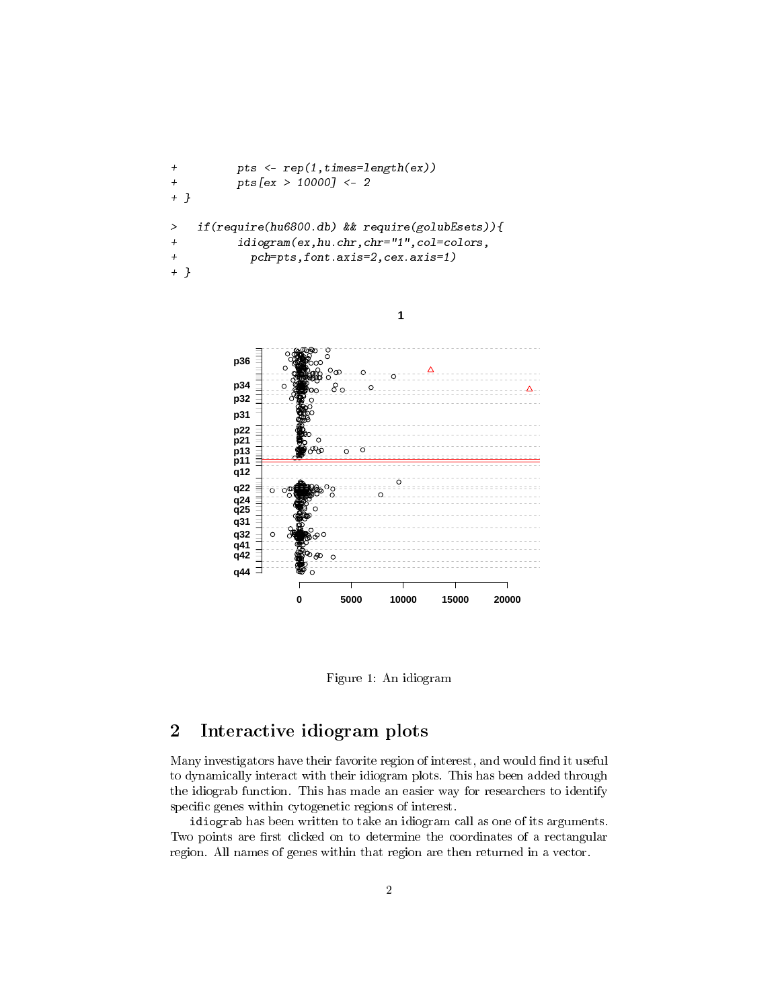```
+ pts <- rep(1,times=length(ex))
+ pts[ex > 10000] <- 2
+ }
> if(require(hu6800.db) && require(golubEsets)){
+ idiogram(ex,hu.chr,chr="1",col=colors,
+ pch=pts,font.axis=2,cex.axis=1)
+ }
```
**1**



Figure 1: An idiogram

## 2 Interactive idiogram plots

Many investigators have their favorite region of interest, and would find it useful to dynamically interact with their idiogram plots. This has been added through the idiograb function. This has made an easier way for researchers to identify specific genes within cytogenetic regions of interest.

idiograb has been written to take an idiogram call as one of its arguments. Two points are first clicked on to determine the coordinates of a rectangular region. All names of genes within that region are then returned in a vector.